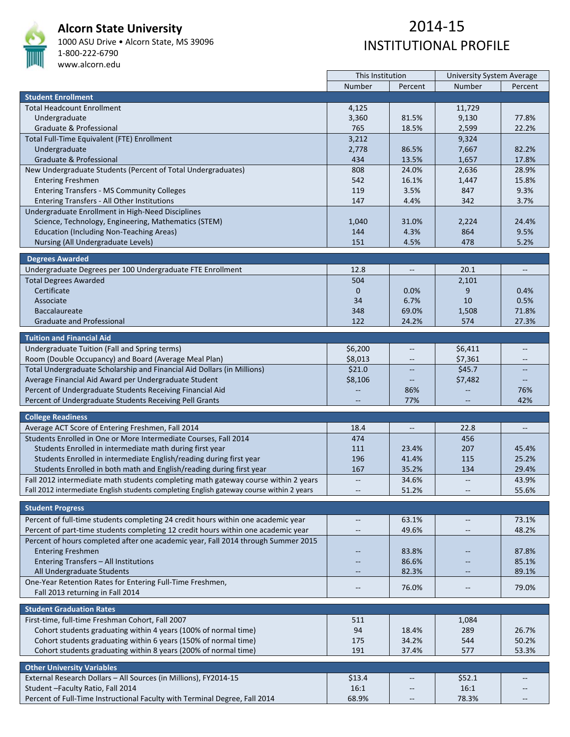

**Alcorn State University** 

1000 ASU Drive • Alcorn State, MS 39096 1‐800‐222‐6790 www.alcorn.edu

## 2014‐15 INSTITUTIONAL PROFILE

|                                                                                          | This Institution         |                                                     | <b>University System Average</b> |                          |
|------------------------------------------------------------------------------------------|--------------------------|-----------------------------------------------------|----------------------------------|--------------------------|
|                                                                                          | Number                   | Percent                                             | Number                           | Percent                  |
| <b>Student Enrollment</b>                                                                |                          |                                                     |                                  |                          |
| <b>Total Headcount Enrollment</b>                                                        | 4,125                    |                                                     | 11,729                           |                          |
| Undergraduate                                                                            | 3,360                    | 81.5%                                               | 9,130                            | 77.8%                    |
| Graduate & Professional                                                                  | 765                      | 18.5%                                               | 2,599                            | 22.2%                    |
| Total Full-Time Equivalent (FTE) Enrollment                                              | 3,212                    |                                                     | 9,324                            |                          |
| Undergraduate                                                                            | 2,778                    | 86.5%                                               | 7,667                            | 82.2%                    |
| Graduate & Professional                                                                  | 434                      | 13.5%                                               | 1,657                            | 17.8%                    |
| New Undergraduate Students (Percent of Total Undergraduates)                             | 808                      | 24.0%                                               | 2,636                            | 28.9%                    |
| <b>Entering Freshmen</b>                                                                 | 542                      | 16.1%                                               | 1,447                            | 15.8%                    |
| <b>Entering Transfers - MS Community Colleges</b>                                        | 119                      | 3.5%                                                | 847                              | 9.3%                     |
| Entering Transfers - All Other Institutions                                              | 147                      | 4.4%                                                | 342                              | 3.7%                     |
| Undergraduate Enrollment in High-Need Disciplines                                        |                          |                                                     |                                  |                          |
|                                                                                          |                          |                                                     |                                  | 24.4%                    |
| Science, Technology, Engineering, Mathematics (STEM)                                     | 1,040                    | 31.0%                                               | 2,224                            |                          |
| <b>Education (Including Non-Teaching Areas)</b>                                          | 144                      | 4.3%                                                | 864                              | 9.5%                     |
| Nursing (All Undergraduate Levels)                                                       | 151                      | 4.5%                                                | 478                              | 5.2%                     |
| <b>Degrees Awarded</b>                                                                   |                          |                                                     |                                  |                          |
| Undergraduate Degrees per 100 Undergraduate FTE Enrollment                               | 12.8                     | $\hspace{0.05cm} -\hspace{0.05cm} -\hspace{0.05cm}$ | 20.1                             | $\overline{\phantom{a}}$ |
| <b>Total Degrees Awarded</b>                                                             | 504                      |                                                     | 2,101                            |                          |
| Certificate                                                                              |                          |                                                     | 9                                |                          |
| Associate                                                                                | $\mathbf{0}$             | 0.0%                                                | 10                               | 0.4%<br>0.5%             |
|                                                                                          | 34                       | 6.7%                                                |                                  |                          |
| <b>Baccalaureate</b>                                                                     | 348                      | 69.0%                                               | 1,508                            | 71.8%                    |
| <b>Graduate and Professional</b>                                                         | 122                      | 24.2%                                               | 574                              | 27.3%                    |
| <b>Tuition and Financial Aid</b>                                                         |                          |                                                     |                                  |                          |
| Undergraduate Tuition (Fall and Spring terms)                                            | \$6,200                  | $\overline{\phantom{m}}$                            | \$6,411                          | $-$                      |
| Room (Double Occupancy) and Board (Average Meal Plan)                                    | \$8,013                  | $-\!$                                               | \$7,361                          | $\overline{\phantom{m}}$ |
| Total Undergraduate Scholarship and Financial Aid Dollars (in Millions)                  | \$21.0                   |                                                     | \$45.7                           |                          |
| Average Financial Aid Award per Undergraduate Student                                    | \$8,106                  |                                                     | \$7,482                          |                          |
| Percent of Undergraduate Students Receiving Financial Aid                                |                          | 86%                                                 |                                  | 76%                      |
|                                                                                          |                          | 77%                                                 |                                  | 42%                      |
| Percent of Undergraduate Students Receiving Pell Grants                                  |                          |                                                     |                                  |                          |
| <b>College Readiness</b>                                                                 |                          |                                                     |                                  |                          |
| Average ACT Score of Entering Freshmen, Fall 2014                                        | 18.4                     |                                                     | 22.8                             |                          |
| Students Enrolled in One or More Intermediate Courses, Fall 2014                         | 474                      |                                                     | 456                              |                          |
| Students Enrolled in intermediate math during first year                                 | 111                      | 23.4%                                               | 207                              | 45.4%                    |
| Students Enrolled in intermediate English/reading during first year                      | 196                      | 41.4%                                               | 115                              | 25.2%                    |
| Students Enrolled in both math and English/reading during first year                     | 167                      | 35.2%                                               | 134                              | 29.4%                    |
| Fall 2012 intermediate math students completing math gateway course within 2 years       | $\overline{\phantom{a}}$ | 34.6%                                               | $\qquad \qquad -$                | 43.9%                    |
| Fall 2012 intermediate English students completing English gateway course within 2 years |                          | 51.2%                                               |                                  | 55.6%                    |
|                                                                                          |                          |                                                     |                                  |                          |
| <b>Student Progress</b>                                                                  |                          |                                                     |                                  |                          |
| Percent of full-time students completing 24 credit hours within one academic year        | --                       | 63.1%                                               | $\overline{\phantom{a}}$         | 73.1%                    |
| Percent of part-time students completing 12 credit hours within one academic year        |                          | 49.6%                                               |                                  | 48.2%                    |
| Percent of hours completed after one academic year, Fall 2014 through Summer 2015        |                          |                                                     |                                  |                          |
|                                                                                          |                          |                                                     |                                  |                          |
| <b>Entering Freshmen</b>                                                                 |                          | 83.8%                                               |                                  | 87.8%                    |
| Entering Transfers - All Institutions                                                    |                          | 86.6%                                               |                                  | 85.1%                    |
| All Undergraduate Students                                                               |                          | 82.3%                                               | $-$                              | 89.1%                    |
| One-Year Retention Rates for Entering Full-Time Freshmen,                                | --                       | 76.0%                                               | --                               | 79.0%                    |
| Fall 2013 returning in Fall 2014                                                         |                          |                                                     |                                  |                          |
| <b>Student Graduation Rates</b>                                                          |                          |                                                     |                                  |                          |
| First-time, full-time Freshman Cohort, Fall 2007                                         |                          |                                                     |                                  |                          |
|                                                                                          | 511                      |                                                     | 1,084                            |                          |
| Cohort students graduating within 4 years (100% of normal time)                          | 94                       | 18.4%                                               | 289                              | 26.7%                    |
| Cohort students graduating within 6 years (150% of normal time)                          | 175                      | 34.2%                                               | 544                              | 50.2%                    |
| Cohort students graduating within 8 years (200% of normal time)                          | 191                      | 37.4%                                               | 577                              | 53.3%                    |
| <b>Other University Variables</b>                                                        |                          |                                                     |                                  |                          |
| External Research Dollars - All Sources (in Millions), FY2014-15                         | \$13.4                   |                                                     | \$52.1                           |                          |
| Student-Faculty Ratio, Fall 2014                                                         | 16:1                     | $\qquad \qquad -$                                   | 16:1                             |                          |
| Percent of Full-Time Instructional Faculty with Terminal Degree, Fall 2014               | 68.9%                    | $\qquad \qquad -$                                   | 78.3%                            |                          |
|                                                                                          |                          |                                                     |                                  |                          |